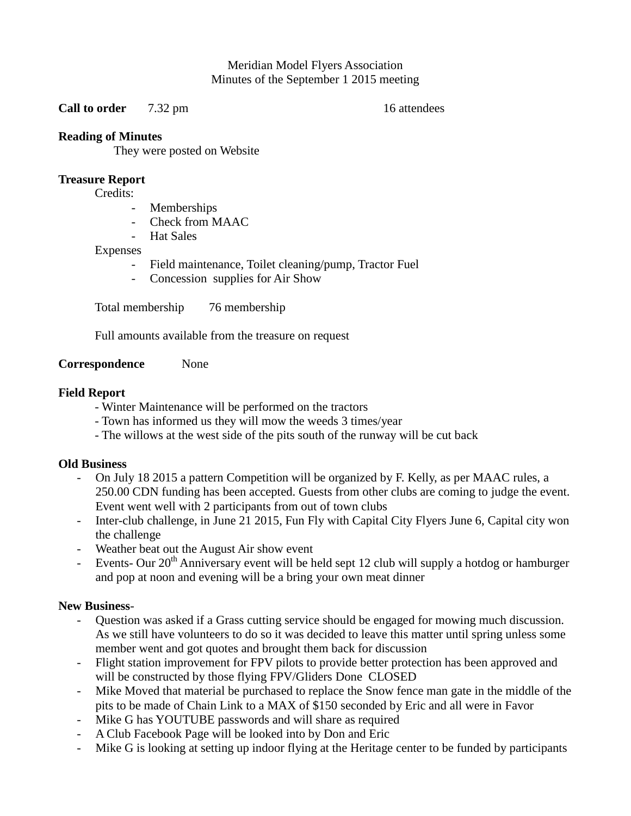Meridian Model Flyers Association Minutes of the September 1 2015 meeting

**Call to order** 7.32 pm 16 attendees

## **Reading of Minutes**

They were posted on Website

## **Treasure Report**

Credits:

- **Memberships**
- Check from MAAC
- Hat Sales

### Expenses

- Field maintenance, Toilet cleaning/pump, Tractor Fuel
- Concession supplies for Air Show

Total membership 76 membership

Full amounts available from the treasure on request

**Correspondence** None

### **Field Report**

- Winter Maintenance will be performed on the tractors
- Town has informed us they will mow the weeds 3 times/year
- The willows at the west side of the pits south of the runway will be cut back

# **Old Business**

- On July 18 2015 a pattern Competition will be organized by F. Kelly, as per MAAC rules, a 250.00 CDN funding has been accepted. Guests from other clubs are coming to judge the event. Event went well with 2 participants from out of town clubs
- Inter-club challenge, in June 21 2015, Fun Fly with Capital City Flyers June 6, Capital city won the challenge
- Weather beat out the August Air show event
- Events- Our 20<sup>th</sup> Anniversary event will be held sept 12 club will supply a hotdog or hamburger and pop at noon and evening will be a bring your own meat dinner

# **New Business**-

- Question was asked if a Grass cutting service should be engaged for mowing much discussion. As we still have volunteers to do so it was decided to leave this matter until spring unless some member went and got quotes and brought them back for discussion
- Flight station improvement for FPV pilots to provide better protection has been approved and will be constructed by those flying FPV/Gliders Done CLOSED
- Mike Moved that material be purchased to replace the Snow fence man gate in the middle of the pits to be made of Chain Link to a MAX of \$150 seconded by Eric and all were in Favor
- Mike G has YOUTUBE passwords and will share as required
- A Club Facebook Page will be looked into by Don and Eric
- Mike G is looking at setting up indoor flying at the Heritage center to be funded by participants